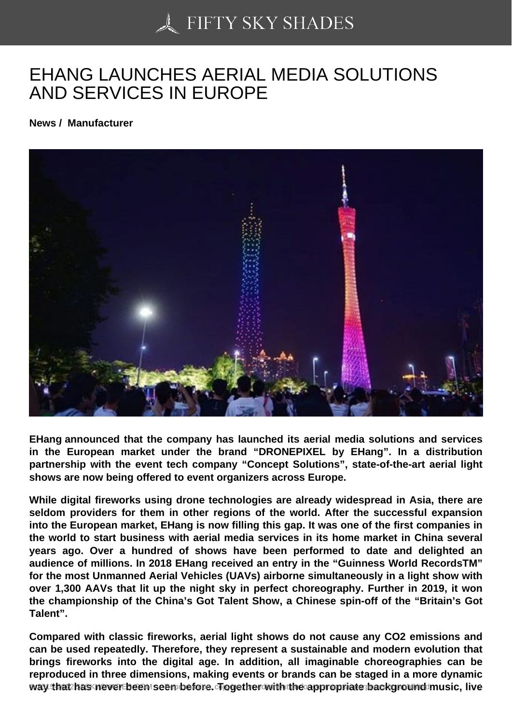## [EHANG LAUNCHES A](https://50skyshades.com)ERIAL MEDIA SOLUTIONS AND SERVICES IN EUROPE

News / Manufacturer

EHang announced that the company has launched its aerial media solutions and services in the European market under the brand "DRONEPIXEL by EHang". In a distribution partnership with the event tech company "Concept Solutions", state-of-the-art aerial light shows are now being offered to event organizers across Europe.

While digital fireworks using drone technologies are already widespread in Asia, there are seldom providers for them in other regions of the world. After the successful expansion into the European market, EHang is now filling this gap. It was one of the first companies in the world to start business with aerial media services in its home market in China several years ago. Over a hundred of shows have been performed to date and delighted an audience of millions. In 2018 EHang received an entry in the "Guinness World RecordsTM" for the most Unmanned Aerial Vehicles (UAVs) airborne simultaneously in a light show with over 1,300 AAVs that lit up the night sky in perfect choreography. Further in 2019, it won the championship of the China's Got Talent Show, a Chinese spin-off of the "Britain's Got Talent".

Compared with classic fireworks, aerial light shows do not cause any CO2 emissions and can be used repeatedly. Therefore, they represent a sustainable and modern evolution that brings fireworks into the digital age. In addition, all imaginable choreographies can be reproduced in three dimensions, making events or brands can be staged in a more dynamic way that has never been seen defore of ogether with the appropriate background music, live  $\sim$  1